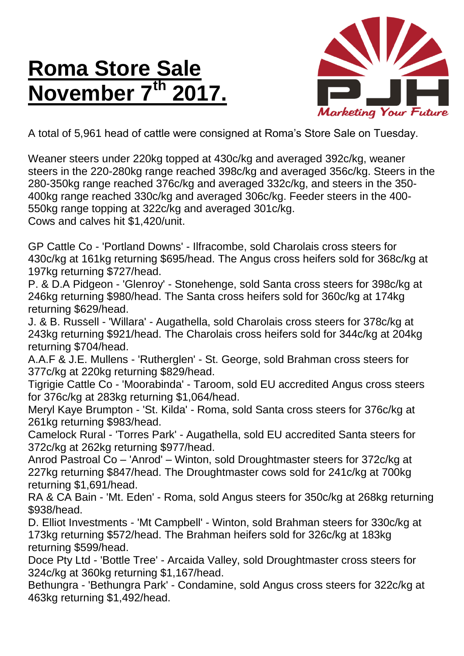## **Roma Store Sale November 7<sup>th</sup>**



A total of 5,961 head of cattle were consigned at Roma's Store Sale on Tuesday.

Weaner steers under 220kg topped at 430c/kg and averaged 392c/kg, weaner steers in the 220-280kg range reached 398c/kg and averaged 356c/kg. Steers in the 280-350kg range reached 376c/kg and averaged 332c/kg, and steers in the 350- 400kg range reached 330c/kg and averaged 306c/kg. Feeder steers in the 400- 550kg range topping at 322c/kg and averaged 301c/kg. Cows and calves hit \$1,420/unit.

GP Cattle Co - 'Portland Downs' - Ilfracombe, sold Charolais cross steers for 430c/kg at 161kg returning \$695/head. The Angus cross heifers sold for 368c/kg at 197kg returning \$727/head.

P. & D.A Pidgeon - 'Glenroy' - Stonehenge, sold Santa cross steers for 398c/kg at 246kg returning \$980/head. The Santa cross heifers sold for 360c/kg at 174kg returning \$629/head.

J. & B. Russell - 'Willara' - Augathella, sold Charolais cross steers for 378c/kg at 243kg returning \$921/head. The Charolais cross heifers sold for 344c/kg at 204kg returning \$704/head.

A.A.F & J.E. Mullens - 'Rutherglen' - St. George, sold Brahman cross steers for 377c/kg at 220kg returning \$829/head.

Tigrigie Cattle Co - 'Moorabinda' - Taroom, sold EU accredited Angus cross steers for 376c/kg at 283kg returning \$1,064/head.

Meryl Kaye Brumpton - 'St. Kilda' - Roma, sold Santa cross steers for 376c/kg at 261kg returning \$983/head.

Camelock Rural - 'Torres Park' - Augathella, sold EU accredited Santa steers for 372c/kg at 262kg returning \$977/head.

Anrod Pastroal Co – 'Anrod' – Winton, sold Droughtmaster steers for 372c/kg at 227kg returning \$847/head. The Droughtmaster cows sold for 241c/kg at 700kg returning \$1,691/head.

RA & CA Bain - 'Mt. Eden' - Roma, sold Angus steers for 350c/kg at 268kg returning \$938/head.

D. Elliot Investments - 'Mt Campbell' - Winton, sold Brahman steers for 330c/kg at 173kg returning \$572/head. The Brahman heifers sold for 326c/kg at 183kg returning \$599/head.

Doce Pty Ltd - 'Bottle Tree' - Arcaida Valley, sold Droughtmaster cross steers for 324c/kg at 360kg returning \$1,167/head.

Bethungra - 'Bethungra Park' - Condamine, sold Angus cross steers for 322c/kg at 463kg returning \$1,492/head.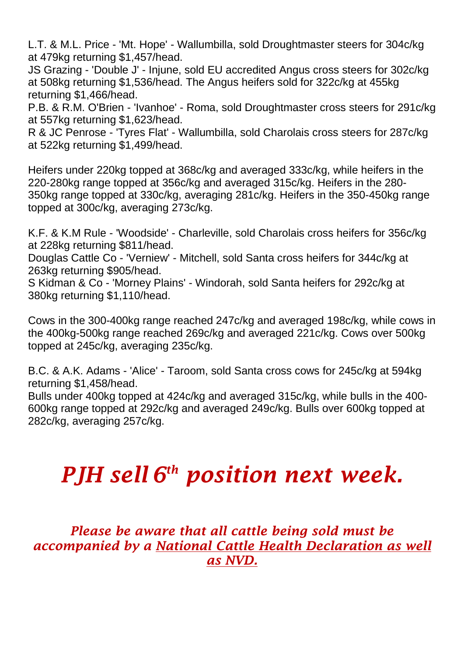L.T. & M.L. Price - 'Mt. Hope' - Wallumbilla, sold Droughtmaster steers for 304c/kg at 479kg returning \$1,457/head.

JS Grazing - 'Double J' - Injune, sold EU accredited Angus cross steers for 302c/kg at 508kg returning \$1,536/head. The Angus heifers sold for 322c/kg at 455kg returning \$1,466/head.

P.B. & R.M. O'Brien - 'Ivanhoe' - Roma, sold Droughtmaster cross steers for 291c/kg at 557kg returning \$1,623/head.

R & JC Penrose - 'Tyres Flat' - Wallumbilla, sold Charolais cross steers for 287c/kg at 522kg returning \$1,499/head.

Heifers under 220kg topped at 368c/kg and averaged 333c/kg, while heifers in the 220-280kg range topped at 356c/kg and averaged 315c/kg. Heifers in the 280- 350kg range topped at 330c/kg, averaging 281c/kg. Heifers in the 350-450kg range topped at 300c/kg, averaging 273c/kg.

K.F. & K.M Rule - 'Woodside' - Charleville, sold Charolais cross heifers for 356c/kg at 228kg returning \$811/head.

Douglas Cattle Co - 'Verniew' - Mitchell, sold Santa cross heifers for 344c/kg at 263kg returning \$905/head.

S Kidman & Co - 'Morney Plains' - Windorah, sold Santa heifers for 292c/kg at 380kg returning \$1,110/head.

Cows in the 300-400kg range reached 247c/kg and averaged 198c/kg, while cows in the 400kg-500kg range reached 269c/kg and averaged 221c/kg. Cows over 500kg topped at 245c/kg, averaging 235c/kg.

B.C. & A.K. Adams - 'Alice' - Taroom, sold Santa cross cows for 245c/kg at 594kg returning \$1,458/head.

Bulls under 400kg topped at 424c/kg and averaged 315c/kg, while bulls in the 400- 600kg range topped at 292c/kg and averaged 249c/kg. Bulls over 600kg topped at 282c/kg, averaging 257c/kg.

## *PJH sell 6 th position next week.*

*Please be aware that all cattle being sold must be accompanied by a National Cattle Health Declaration as well as NVD.*